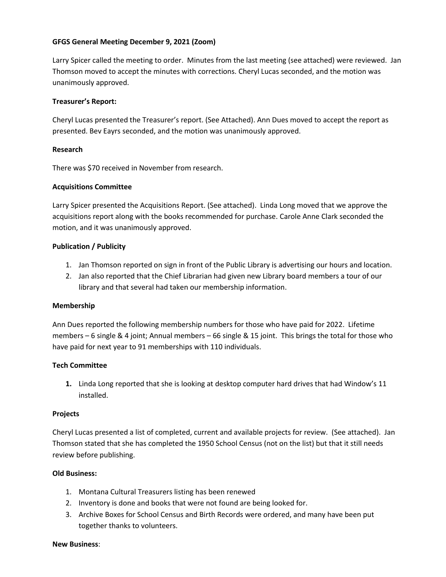# **GFGS General Meeting December 9, 2021 (Zoom)**

Larry Spicer called the meeting to order. Minutes from the last meeting (see attached) were reviewed. Jan Thomson moved to accept the minutes with corrections. Cheryl Lucas seconded, and the motion was unanimously approved.

## **Treasurer's Report:**

Cheryl Lucas presented the Treasurer's report. (See Attached). Ann Dues moved to accept the report as presented. Bev Eayrs seconded, and the motion was unanimously approved.

## **Research**

There was \$70 received in November from research.

## **Acquisitions Committee**

Larry Spicer presented the Acquisitions Report. (See attached). Linda Long moved that we approve the acquisitions report along with the books recommended for purchase. Carole Anne Clark seconded the motion, and it was unanimously approved.

## **Publication / Publicity**

- 1. Jan Thomson reported on sign in front of the Public Library is advertising our hours and location.
- 2. Jan also reported that the Chief Librarian had given new Library board members a tour of our library and that several had taken our membership information.

### **Membership**

Ann Dues reported the following membership numbers for those who have paid for 2022. Lifetime members – 6 single & 4 joint; Annual members – 66 single & 15 joint. This brings the total for those who have paid for next year to 91 memberships with 110 individuals.

### **Tech Committee**

**1.** Linda Long reported that she is looking at desktop computer hard drives that had Window's 11 installed.

### **Projects**

Cheryl Lucas presented a list of completed, current and available projects for review. (See attached). Jan Thomson stated that she has completed the 1950 School Census (not on the list) but that it still needs review before publishing.

### **Old Business:**

- 1. Montana Cultural Treasurers listing has been renewed
- 2. Inventory is done and books that were not found are being looked for.
- 3. Archive Boxes for School Census and Birth Records were ordered, and many have been put together thanks to volunteers.

#### **New Business**: